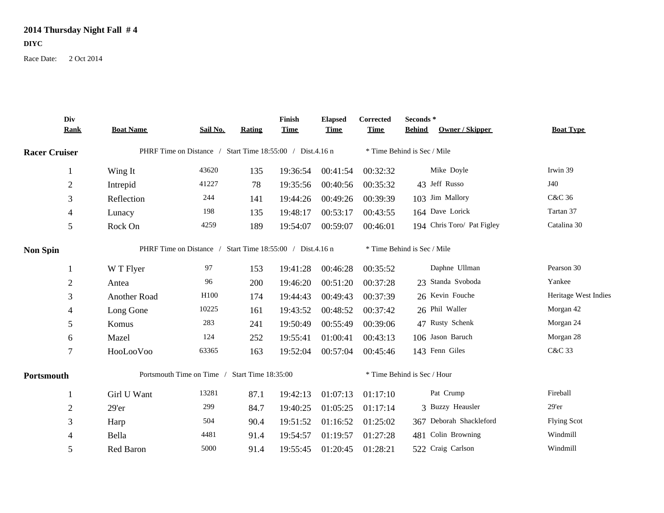## **2014 Thursday Night Fall # 4**

**DIYC**

Race Date: 2 Oct 2014

| Div                  |                                               |                                                           |               | Finish      | <b>Elapsed</b> | Corrected                   | Seconds*                         |                      |
|----------------------|-----------------------------------------------|-----------------------------------------------------------|---------------|-------------|----------------|-----------------------------|----------------------------------|----------------------|
| <b>Rank</b>          | <b>Boat Name</b>                              | Sail No.                                                  | <b>Rating</b> | <b>Time</b> | <b>Time</b>    | <b>Time</b>                 | Owner / Skipper<br><b>Behind</b> | <b>Boat Type</b>     |
| <b>Racer Cruiser</b> |                                               | PHRF Time on Distance / Start Time 18:55:00 / Dist.4.16 n |               |             |                |                             | * Time Behind is Sec / Mile      |                      |
| 1                    | Wing It                                       | 43620                                                     | 135           | 19:36:54    | 00:41:54       | 00:32:32                    | Mike Doyle                       | Irwin 39             |
| $\overline{2}$       | Intrepid                                      | 41227                                                     | 78            | 19:35:56    | 00:40:56       | 00:35:32                    | 43 Jeff Russo                    | J40                  |
| 3                    | Reflection                                    | 244                                                       | 141           | 19:44:26    | 00:49:26       | 00:39:39                    | 103 Jim Mallory                  | C&C 36               |
| 4                    | Lunacy                                        | 198                                                       | 135           | 19:48:17    | 00:53:17       | 00:43:55                    | 164 Dave Lorick                  | Tartan 37            |
| 5                    | Rock On                                       | 4259                                                      | 189           | 19:54:07    | 00:59:07       | 00:46:01                    | 194 Chris Toro/ Pat Figley       | Catalina 30          |
| <b>Non Spin</b>      |                                               | PHRF Time on Distance / Start Time 18:55:00 / Dist.4.16 n |               |             |                |                             | * Time Behind is Sec / Mile      |                      |
|                      | W T Flyer                                     | 97                                                        | 153           | 19:41:28    | 00:46:28       | 00:35:52                    | Daphne Ullman                    | Pearson 30           |
| $\overline{2}$       | Antea                                         | 96                                                        | 200           | 19:46:20    | 00:51:20       | 00:37:28                    | 23 Standa Svoboda                | Yankee               |
| 3                    | Another Road                                  | H100                                                      | 174           | 19:44:43    | 00:49:43       | 00:37:39                    | 26 Kevin Fouche                  | Heritage West Indies |
| 4                    | Long Gone                                     | 10225                                                     | 161           | 19:43:52    | 00:48:52       | 00:37:42                    | 26 Phil Waller                   | Morgan 42            |
| 5                    | Komus                                         | 283                                                       | 241           | 19:50:49    | 00:55:49       | 00:39:06                    | 47 Rusty Schenk                  | Morgan 24            |
| 6                    | Mazel                                         | 124                                                       | 252           | 19:55:41    | 01:00:41       | 00:43:13                    | 106 Jason Baruch                 | Morgan 28            |
| $\overline{7}$       | HooLooVoo                                     | 63365                                                     | 163           | 19:52:04    | 00:57:04       | 00:45:46                    | 143 Fenn Giles                   | C&C 33               |
| Portsmouth           | Portsmouth Time on Time / Start Time 18:35:00 |                                                           |               |             |                | * Time Behind is Sec / Hour |                                  |                      |
|                      | Girl U Want                                   | 13281                                                     | 87.1          | 19:42:13    | 01:07:13       | 01:17:10                    | Pat Crump                        | Fireball             |
| $\overline{2}$       | 29'er                                         | 299                                                       | 84.7          | 19:40:25    | 01:05:25       | 01:17:14                    | 3 Buzzy Heausler                 | $29'$ er             |
| 3                    | Harp                                          | 504                                                       | 90.4          | 19:51:52    | 01:16:52       | 01:25:02                    | 367 Deborah Shackleford          | <b>Flying Scot</b>   |
| 4                    | Bella                                         | 4481                                                      | 91.4          | 19:54:57    | 01:19:57       | 01:27:28                    | 481 Colin Browning               | Windmill             |
| 5                    | Red Baron                                     | 5000                                                      | 91.4          | 19:55:45    | 01:20:45       | 01:28:21                    | 522 Craig Carlson                | Windmill             |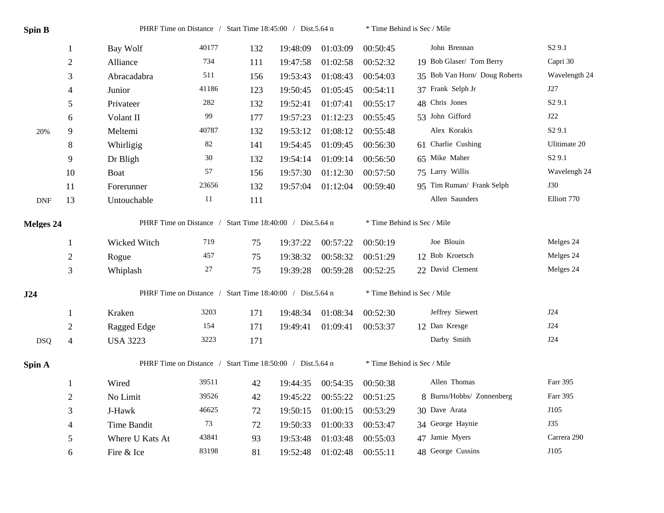| <b>Spin B</b> |                  |                                                           | PHRF Time on Distance / Start Time 18:45:00 / Dist.5.64 n |     |          |          | * Time Behind is Sec / Mile |                               |                    |  |  |
|---------------|------------------|-----------------------------------------------------------|-----------------------------------------------------------|-----|----------|----------|-----------------------------|-------------------------------|--------------------|--|--|
|               | 1                | Bay Wolf                                                  | 40177                                                     | 132 | 19:48:09 | 01:03:09 | 00:50:45                    | John Brennan                  | S <sub>2</sub> 9.1 |  |  |
|               | $\sqrt{2}$       | Alliance                                                  | 734                                                       | 111 | 19:47:58 | 01:02:58 | 00:52:32                    | 19 Bob Glaser/ Tom Berry      | Capri 30           |  |  |
|               | 3                | Abracadabra                                               | 511                                                       | 156 | 19:53:43 | 01:08:43 | 00:54:03                    | 35 Bob Van Horn/ Doug Roberts | Wavelength 24      |  |  |
|               | $\overline{4}$   | Junior                                                    | 41186                                                     | 123 | 19:50:45 | 01:05:45 | 00:54:11                    | 37 Frank Selph Jr             | J27                |  |  |
|               | 5                | Privateer                                                 | 282                                                       | 132 | 19:52:41 | 01:07:41 | 00:55:17                    | 48 Chris Jones                | S <sub>2</sub> 9.1 |  |  |
|               | 6                | Volant II                                                 | 99                                                        | 177 | 19:57:23 | 01:12:23 | 00:55:45                    | 53 John Gifford               | J22                |  |  |
| 20%           | 9                | Meltemi                                                   | 40787                                                     | 132 | 19:53:12 | 01:08:12 | 00:55:48                    | Alex Korakis                  | S <sub>2</sub> 9.1 |  |  |
|               | $8\,$            | Whirligig                                                 | $82\,$                                                    | 141 | 19:54:45 | 01:09:45 | 00:56:30                    | 61 Charlie Cushing            | Ulitimate 20       |  |  |
|               | 9                | Dr Bligh                                                  | 30                                                        | 132 | 19:54:14 | 01:09:14 | 00:56:50                    | 65 Mike Maher                 | S <sub>2</sub> 9.1 |  |  |
|               | 10               | Boat                                                      | 57                                                        | 156 | 19:57:30 | 01:12:30 | 00:57:50                    | 75 Larry Willis               | Wavelengh 24       |  |  |
|               | 11               | Forerunner                                                | 23656                                                     | 132 | 19:57:04 | 01:12:04 | 00:59:40                    | 95 Tim Ruman/ Frank Selph     | <b>J30</b>         |  |  |
| <b>DNF</b>    | 13               | Untouchable                                               | 11                                                        | 111 |          |          |                             | Allen Saunders                | Elliott 770        |  |  |
| Melges 24     |                  |                                                           | PHRF Time on Distance / Start Time 18:40:00 / Dist.5.64 n |     |          |          |                             | * Time Behind is Sec / Mile   |                    |  |  |
|               | 1                | Wicked Witch                                              | 719                                                       | 75  | 19:37:22 | 00:57:22 | 00:50:19                    | Joe Blouin                    | Melges 24          |  |  |
|               | $\boldsymbol{2}$ | Rogue                                                     | 457                                                       | 75  | 19:38:32 | 00:58:32 | 00:51:29                    | 12 Bob Kroetsch               | Melges 24          |  |  |
|               | 3                | Whiplash                                                  | 27                                                        | 75  | 19:39:28 | 00:59:28 | 00:52:25                    | 22 David Clement              | Melges 24          |  |  |
| J24           |                  | PHRF Time on Distance / Start Time 18:40:00 / Dist.5.64 n |                                                           |     |          |          | * Time Behind is Sec / Mile |                               |                    |  |  |
|               | -1               | Kraken                                                    | 3203                                                      | 171 | 19:48:34 | 01:08:34 | 00:52:30                    | Jeffrey Siewert               | J24                |  |  |
|               | $\sqrt{2}$       | Ragged Edge                                               | 154                                                       | 171 | 19:49:41 | 01:09:41 | 00:53:37                    | 12 Dan Kresge                 | J24                |  |  |
| <b>DSQ</b>    | $\overline{4}$   | <b>USA 3223</b>                                           | 3223                                                      | 171 |          |          |                             | Darby Smith                   | J24                |  |  |
| Spin A        |                  | PHRF Time on Distance / Start Time 18:50:00 / Dist.5.64 n |                                                           |     |          |          |                             | * Time Behind is Sec / Mile   |                    |  |  |
|               | $\mathbf{1}$     | Wired                                                     | 39511                                                     | 42  | 19:44:35 | 00:54:35 | 00:50:38                    | Allen Thomas                  | Farr 395           |  |  |
|               | $\boldsymbol{2}$ | No Limit                                                  | 39526                                                     | 42  | 19:45:22 | 00:55:22 | 00:51:25                    | 8 Burns/Hobbs/ Zonnenberg     | Farr 395           |  |  |
|               | 3                | J-Hawk                                                    | 46625                                                     | 72  | 19:50:15 | 01:00:15 | 00:53:29                    | 30 Dave Arata                 | J105               |  |  |
|               | 4                | Time Bandit                                               | 73                                                        | 72  | 19:50:33 | 01:00:33 | 00:53:47                    | 34 George Haynie              | J35                |  |  |
|               | 5                | Where U Kats At                                           | 43841                                                     | 93  | 19:53:48 | 01:03:48 | 00:55:03                    | 47 Jamie Myers                | Carrera 290        |  |  |
|               | 6                | Fire & Ice                                                | 83198                                                     | 81  | 19:52:48 | 01:02:48 | 00:55:11                    | 48 George Cussins             | J105               |  |  |